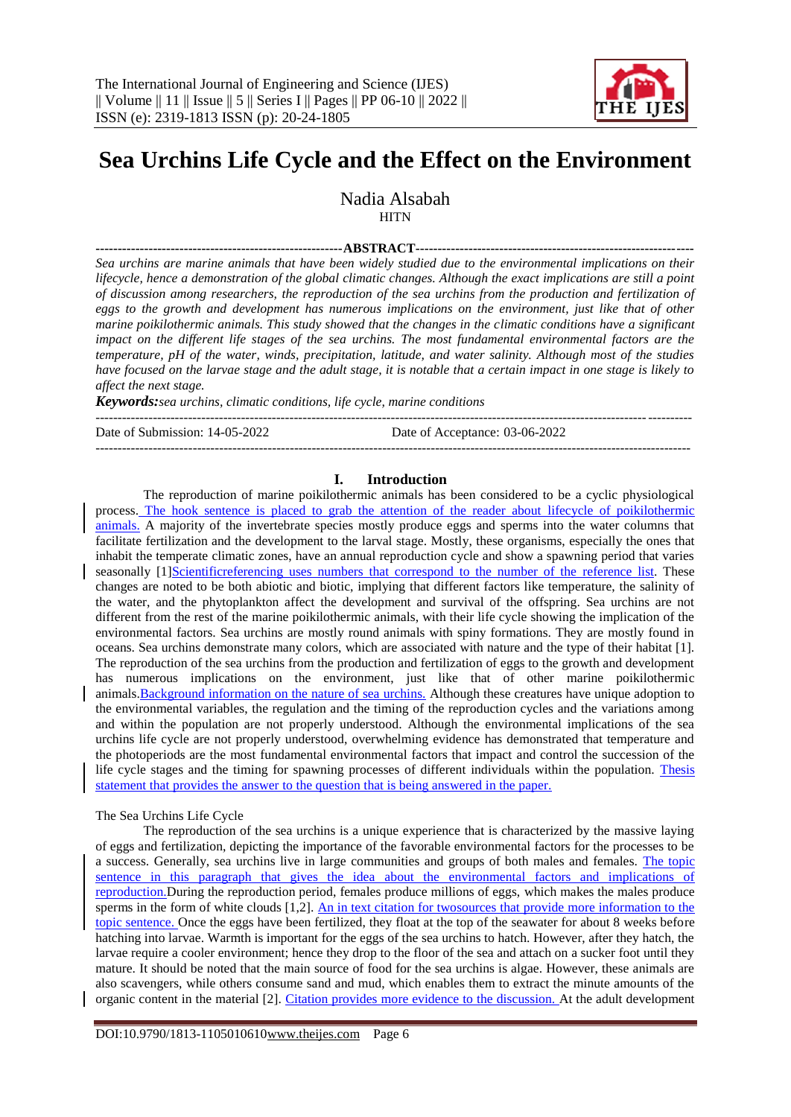

Nadia Alsabah **HITN** 

**--------------------------------------------------------ABSTRACT---------------------------------------------------------------** *Sea urchins are marine animals that have been widely studied due to the environmental implications on their lifecycle, hence a demonstration of the global climatic changes. Although the exact implications are still a point of discussion among researchers, the reproduction of the sea urchins from the production and fertilization of eggs to the growth and development has numerous implications on the environment, just like that of other marine poikilothermic animals. This study showed that the changes in the climatic conditions have a significant impact on the different life stages of the sea urchins. The most fundamental environmental factors are the temperature, pH of the water, winds, precipitation, latitude, and water salinity. Although most of the studies have focused on the larvae stage and the adult stage, it is notable that a certain impact in one stage is likely to affect the next stage.* 

*Keywords:sea urchins, climatic conditions, life cycle, marine conditions* 

Date of Submission: 14-05-2022 Date of Acceptance: 03-06-2022

---------------------------------------------------------------------------------------------------------------------------------------

# **I. Introduction**

---------------------------------------------------------------------------------------------------------------------------------------

The reproduction of marine poikilothermic animals has been considered to be a cyclic physiological process. The hook sentence is placed to grab the attention of the reader about lifecycle of poikilothermic animals. A majority of the invertebrate species mostly produce eggs and sperms into the water columns that facilitate fertilization and the development to the larval stage. Mostly, these organisms, especially the ones that inhabit the temperate climatic zones, have an annual reproduction cycle and show a spawning period that varies seasonally [1]Scientificreferencing uses numbers that correspond to the number of the reference list. These changes are noted to be both abiotic and biotic, implying that different factors like temperature, the salinity of the water, and the phytoplankton affect the development and survival of the offspring. Sea urchins are not different from the rest of the marine poikilothermic animals, with their life cycle showing the implication of the environmental factors. Sea urchins are mostly round animals with spiny formations. They are mostly found in oceans. Sea urchins demonstrate many colors, which are associated with nature and the type of their habitat [1]. The reproduction of the sea urchins from the production and fertilization of eggs to the growth and development has numerous implications on the environment, just like that of other marine poikilothermic animals.Background information on the nature of sea urchins. Although these creatures have unique adoption to the environmental variables, the regulation and the timing of the reproduction cycles and the variations among and within the population are not properly understood. Although the environmental implications of the sea urchins life cycle are not properly understood, overwhelming evidence has demonstrated that temperature and the photoperiods are the most fundamental environmental factors that impact and control the succession of the life cycle stages and the timing for spawning processes of different individuals within the population. Thesis statement that provides the answer to the question that is being answered in the paper.

#### The Sea Urchins Life Cycle

The reproduction of the sea urchins is a unique experience that is characterized by the massive laying of eggs and fertilization, depicting the importance of the favorable environmental factors for the processes to be a success. Generally, sea urchins live in large communities and groups of both males and females. The topic sentence in this paragraph that gives the idea about the environmental factors and implications of reproduction.During the reproduction period, females produce millions of eggs, which makes the males produce sperms in the form of white clouds [1,2]. An in text citation for twosources that provide more information to the topic sentence. Once the eggs have been fertilized, they float at the top of the seawater for about 8 weeks before hatching into larvae. Warmth is important for the eggs of the sea urchins to hatch. However, after they hatch, the larvae require a cooler environment; hence they drop to the floor of the sea and attach on a sucker foot until they mature. It should be noted that the main source of food for the sea urchins is algae. However, these animals are also scavengers, while others consume sand and mud, which enables them to extract the minute amounts of the organic content in the material [2]. Citation provides more evidence to the discussion. At the adult development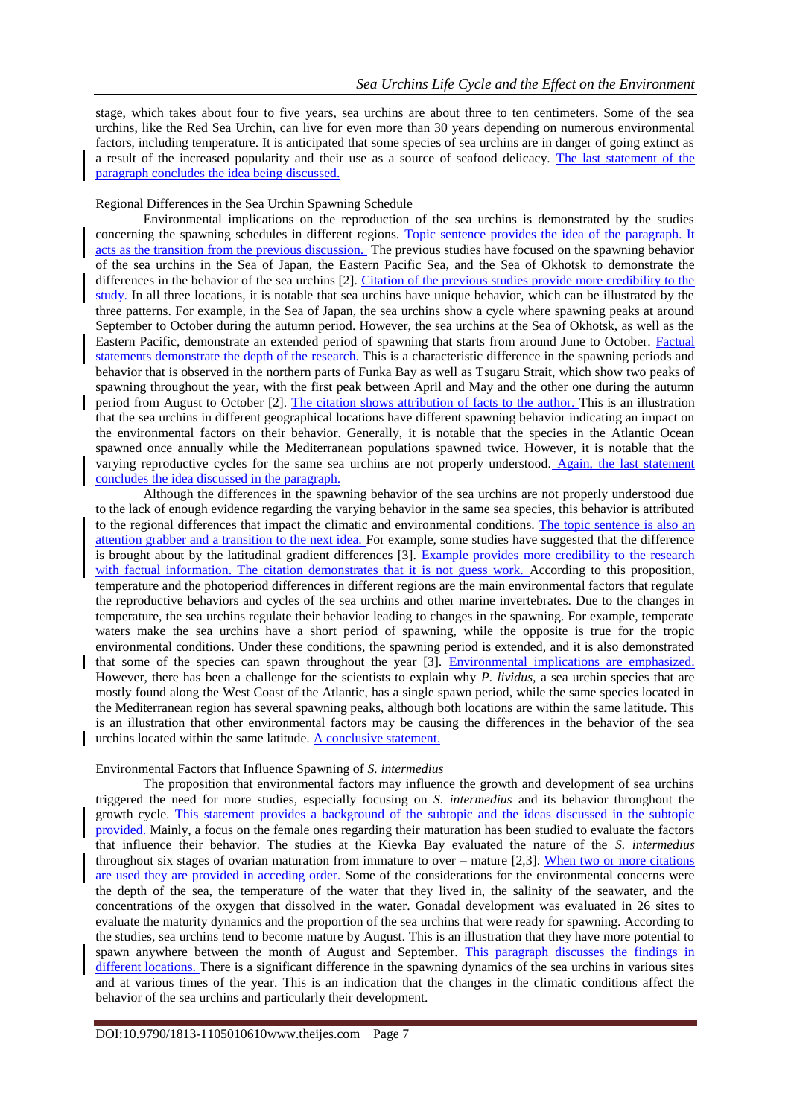stage, which takes about four to five years, sea urchins are about three to ten centimeters. Some of the sea urchins, like the Red Sea Urchin, can live for even more than 30 years depending on numerous environmental factors, including temperature. It is anticipated that some species of sea urchins are in danger of going extinct as a result of the increased popularity and their use as a source of seafood delicacy. The last statement of the paragraph concludes the idea being discussed.

#### Regional Differences in the Sea Urchin Spawning Schedule

Environmental implications on the reproduction of the sea urchins is demonstrated by the studies concerning the spawning schedules in different regions. Topic sentence provides the idea of the paragraph. It acts as the transition from the previous discussion. The previous studies have focused on the spawning behavior of the sea urchins in the Sea of Japan, the Eastern Pacific Sea, and the Sea of Okhotsk to demonstrate the differences in the behavior of the sea urchins [2]. Citation of the previous studies provide more credibility to the study. In all three locations, it is notable that sea urchins have unique behavior, which can be illustrated by the three patterns. For example, in the Sea of Japan, the sea urchins show a cycle where spawning peaks at around September to October during the autumn period. However, the sea urchins at the Sea of Okhotsk, as well as the Eastern Pacific, demonstrate an extended period of spawning that starts from around June to October. Factual statements demonstrate the depth of the research. This is a characteristic difference in the spawning periods and behavior that is observed in the northern parts of Funka Bay as well as Tsugaru Strait, which show two peaks of spawning throughout the year, with the first peak between April and May and the other one during the autumn period from August to October [2]. The citation shows attribution of facts to the author. This is an illustration that the sea urchins in different geographical locations have different spawning behavior indicating an impact on the environmental factors on their behavior. Generally, it is notable that the species in the Atlantic Ocean spawned once annually while the Mediterranean populations spawned twice. However, it is notable that the varying reproductive cycles for the same sea urchins are not properly understood. Again, the last statement concludes the idea discussed in the paragraph.

Although the differences in the spawning behavior of the sea urchins are not properly understood due to the lack of enough evidence regarding the varying behavior in the same sea species, this behavior is attributed to the regional differences that impact the climatic and environmental conditions. The topic sentence is also an attention grabber and a transition to the next idea. For example, some studies have suggested that the difference is brought about by the latitudinal gradient differences [3]. Example provides more credibility to the research with factual information. The citation demonstrates that it is not guess work. According to this proposition, temperature and the photoperiod differences in different regions are the main environmental factors that regulate the reproductive behaviors and cycles of the sea urchins and other marine invertebrates. Due to the changes in temperature, the sea urchins regulate their behavior leading to changes in the spawning. For example, temperate waters make the sea urchins have a short period of spawning, while the opposite is true for the tropic environmental conditions. Under these conditions, the spawning period is extended, and it is also demonstrated that some of the species can spawn throughout the year [3]. Environmental implications are emphasized. However, there has been a challenge for the scientists to explain why *P. lividus,* a sea urchin species that are mostly found along the West Coast of the Atlantic, has a single spawn period, while the same species located in the Mediterranean region has several spawning peaks, although both locations are within the same latitude. This is an illustration that other environmental factors may be causing the differences in the behavior of the sea urchins located within the same latitude. A conclusive statement.

#### Environmental Factors that Influence Spawning of *S. intermedius*

The proposition that environmental factors may influence the growth and development of sea urchins triggered the need for more studies, especially focusing on *S. intermedius* and its behavior throughout the growth cycle. This statement provides a background of the subtopic and the ideas discussed in the subtopic provided. Mainly, a focus on the female ones regarding their maturation has been studied to evaluate the factors that influence their behavior. The studies at the Kievka Bay evaluated the nature of the *S. intermedius*  throughout six stages of ovarian maturation from immature to over – mature [2,3]. When two or more citations are used they are provided in acceding order. Some of the considerations for the environmental concerns were the depth of the sea, the temperature of the water that they lived in, the salinity of the seawater, and the concentrations of the oxygen that dissolved in the water. Gonadal development was evaluated in 26 sites to evaluate the maturity dynamics and the proportion of the sea urchins that were ready for spawning. According to the studies, sea urchins tend to become mature by August. This is an illustration that they have more potential to spawn anywhere between the month of August and September. This paragraph discusses the findings in different locations. There is a significant difference in the spawning dynamics of the sea urchins in various sites and at various times of the year. This is an indication that the changes in the climatic conditions affect the behavior of the sea urchins and particularly their development.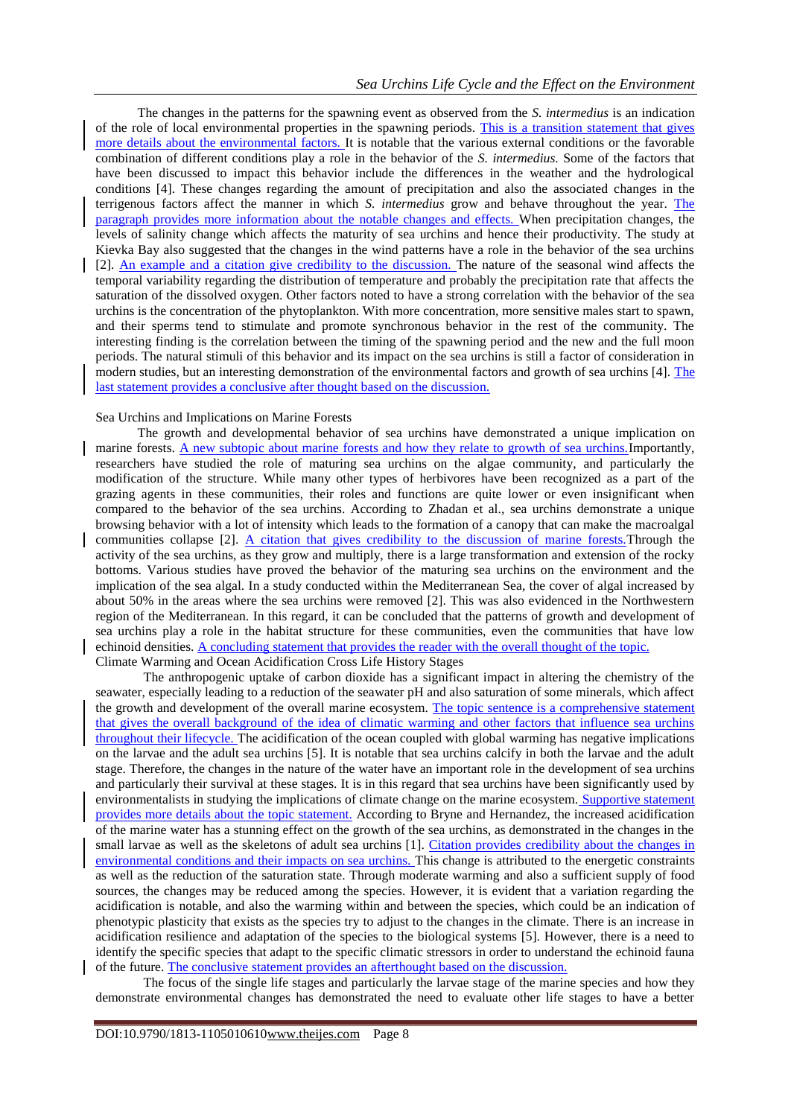The changes in the patterns for the spawning event as observed from the *S. intermedius* is an indication of the role of local environmental properties in the spawning periods. This is a transition statement that gives more details about the environmental factors. It is notable that the various external conditions or the favorable combination of different conditions play a role in the behavior of the *S. intermedius.* Some of the factors that have been discussed to impact this behavior include the differences in the weather and the hydrological conditions [4]. These changes regarding the amount of precipitation and also the associated changes in the terrigenous factors affect the manner in which *S. intermedius* grow and behave throughout the year. The paragraph provides more information about the notable changes and effects. When precipitation changes, the levels of salinity change which affects the maturity of sea urchins and hence their productivity. The study at Kievka Bay also suggested that the changes in the wind patterns have a role in the behavior of the sea urchins [2]. An example and a citation give credibility to the discussion. The nature of the seasonal wind affects the temporal variability regarding the distribution of temperature and probably the precipitation rate that affects the saturation of the dissolved oxygen. Other factors noted to have a strong correlation with the behavior of the sea urchins is the concentration of the phytoplankton. With more concentration, more sensitive males start to spawn, and their sperms tend to stimulate and promote synchronous behavior in the rest of the community. The interesting finding is the correlation between the timing of the spawning period and the new and the full moon periods. The natural stimuli of this behavior and its impact on the sea urchins is still a factor of consideration in modern studies, but an interesting demonstration of the environmental factors and growth of sea urchins [4]. The last statement provides a conclusive after thought based on the discussion.

## Sea Urchins and Implications on Marine Forests

The growth and developmental behavior of sea urchins have demonstrated a unique implication on marine forests. A new subtopic about marine forests and how they relate to growth of sea urchins.Importantly, researchers have studied the role of maturing sea urchins on the algae community, and particularly the modification of the structure. While many other types of herbivores have been recognized as a part of the grazing agents in these communities, their roles and functions are quite lower or even insignificant when compared to the behavior of the sea urchins. According to Zhadan et al., sea urchins demonstrate a unique browsing behavior with a lot of intensity which leads to the formation of a canopy that can make the macroalgal communities collapse [2]. A citation that gives credibility to the discussion of marine forests.Through the activity of the sea urchins, as they grow and multiply, there is a large transformation and extension of the rocky bottoms. Various studies have proved the behavior of the maturing sea urchins on the environment and the implication of the sea algal. In a study conducted within the Mediterranean Sea, the cover of algal increased by about 50% in the areas where the sea urchins were removed [2]. This was also evidenced in the Northwestern region of the Mediterranean. In this regard, it can be concluded that the patterns of growth and development of sea urchins play a role in the habitat structure for these communities, even the communities that have low echinoid densities. A concluding statement that provides the reader with the overall thought of the topic.

Climate Warming and Ocean Acidification Cross Life History Stages

The anthropogenic uptake of carbon dioxide has a significant impact in altering the chemistry of the seawater, especially leading to a reduction of the seawater pH and also saturation of some minerals, which affect the growth and development of the overall marine ecosystem. The topic sentence is a comprehensive statement that gives the overall background of the idea of climatic warming and other factors that influence sea urchins throughout their lifecycle. The acidification of the ocean coupled with global warming has negative implications on the larvae and the adult sea urchins [5]. It is notable that sea urchins calcify in both the larvae and the adult stage. Therefore, the changes in the nature of the water have an important role in the development of sea urchins and particularly their survival at these stages. It is in this regard that sea urchins have been significantly used by environmentalists in studying the implications of climate change on the marine ecosystem. Supportive statement provides more details about the topic statement. According to Bryne and Hernandez, the increased acidification of the marine water has a stunning effect on the growth of the sea urchins, as demonstrated in the changes in the small larvae as well as the skeletons of adult sea urchins [1]. Citation provides credibility about the changes in environmental conditions and their impacts on sea urchins. This change is attributed to the energetic constraints as well as the reduction of the saturation state. Through moderate warming and also a sufficient supply of food sources, the changes may be reduced among the species. However, it is evident that a variation regarding the acidification is notable, and also the warming within and between the species, which could be an indication of phenotypic plasticity that exists as the species try to adjust to the changes in the climate. There is an increase in acidification resilience and adaptation of the species to the biological systems [5]. However, there is a need to identify the specific species that adapt to the specific climatic stressors in order to understand the echinoid fauna of the future. The conclusive statement provides an afterthought based on the discussion.

The focus of the single life stages and particularly the larvae stage of the marine species and how they demonstrate environmental changes has demonstrated the need to evaluate other life stages to have a better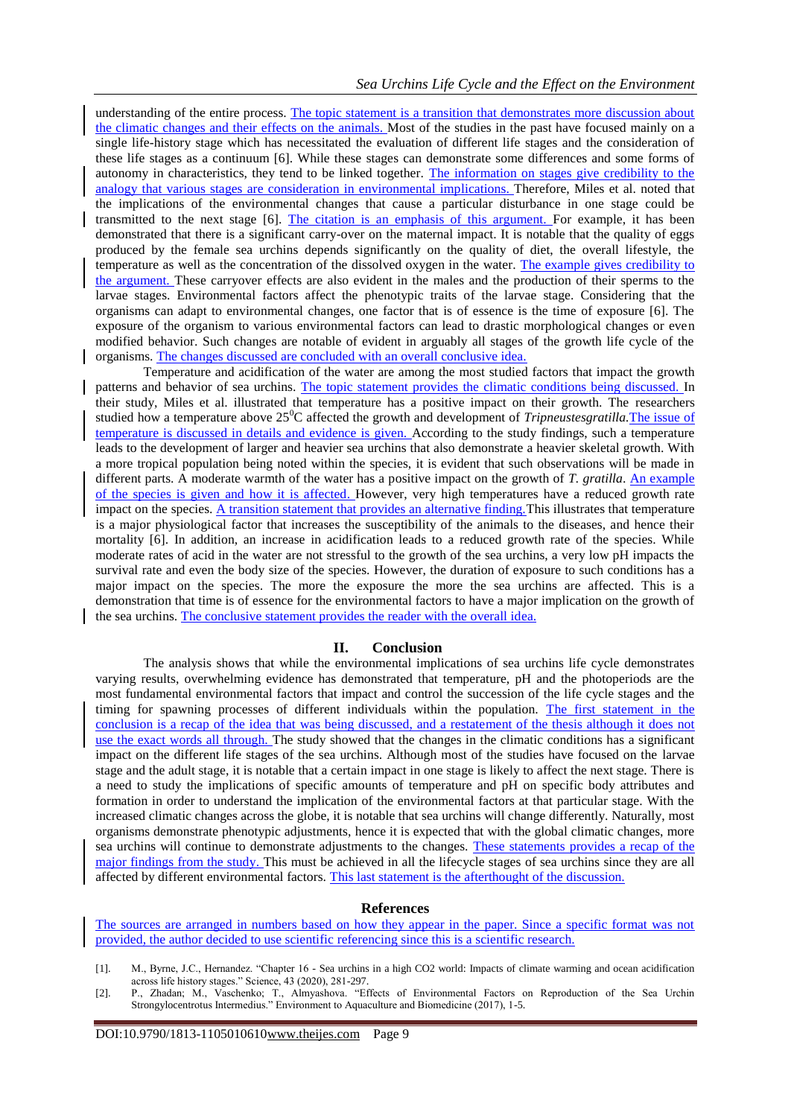understanding of the entire process. The topic statement is a transition that demonstrates more discussion about the climatic changes and their effects on the animals. Most of the studies in the past have focused mainly on a single life-history stage which has necessitated the evaluation of different life stages and the consideration of these life stages as a continuum [6]. While these stages can demonstrate some differences and some forms of autonomy in characteristics, they tend to be linked together. The information on stages give credibility to the analogy that various stages are consideration in environmental implications. Therefore, Miles et al. noted that the implications of the environmental changes that cause a particular disturbance in one stage could be transmitted to the next stage [6]. The citation is an emphasis of this argument. For example, it has been demonstrated that there is a significant carry-over on the maternal impact. It is notable that the quality of eggs produced by the female sea urchins depends significantly on the quality of diet, the overall lifestyle, the temperature as well as the concentration of the dissolved oxygen in the water. The example gives credibility to the argument. These carryover effects are also evident in the males and the production of their sperms to the larvae stages. Environmental factors affect the phenotypic traits of the larvae stage. Considering that the organisms can adapt to environmental changes, one factor that is of essence is the time of exposure [6]. The exposure of the organism to various environmental factors can lead to drastic morphological changes or even modified behavior. Such changes are notable of evident in arguably all stages of the growth life cycle of the organisms. The changes discussed are concluded with an overall conclusive idea.

Temperature and acidification of the water are among the most studied factors that impact the growth patterns and behavior of sea urchins. The topic statement provides the climatic conditions being discussed. In their study, Miles et al. illustrated that temperature has a positive impact on their growth. The researchers studied how a temperature above 25<sup>°</sup>C affected the growth and development of *Tripneustesgratilla*. The issue of temperature is discussed in details and evidence is given. According to the study findings, such a temperature leads to the development of larger and heavier sea urchins that also demonstrate a heavier skeletal growth. With a more tropical population being noted within the species, it is evident that such observations will be made in different parts. A moderate warmth of the water has a positive impact on the growth of *T. gratilla*. An example of the species is given and how it is affected. However, very high temperatures have a reduced growth rate impact on the species. A transition statement that provides an alternative finding.This illustrates that temperature is a major physiological factor that increases the susceptibility of the animals to the diseases, and hence their mortality [6]. In addition, an increase in acidification leads to a reduced growth rate of the species. While moderate rates of acid in the water are not stressful to the growth of the sea urchins, a very low pH impacts the survival rate and even the body size of the species. However, the duration of exposure to such conditions has a major impact on the species. The more the exposure the more the sea urchins are affected. This is a demonstration that time is of essence for the environmental factors to have a major implication on the growth of the sea urchins. The conclusive statement provides the reader with the overall idea.

### **II. Conclusion**

The analysis shows that while the environmental implications of sea urchins life cycle demonstrates varying results, overwhelming evidence has demonstrated that temperature, pH and the photoperiods are the most fundamental environmental factors that impact and control the succession of the life cycle stages and the timing for spawning processes of different individuals within the population. The first statement in the conclusion is a recap of the idea that was being discussed, and a restatement of the thesis although it does not use the exact words all through. The study showed that the changes in the climatic conditions has a significant impact on the different life stages of the sea urchins. Although most of the studies have focused on the larvae stage and the adult stage, it is notable that a certain impact in one stage is likely to affect the next stage. There is a need to study the implications of specific amounts of temperature and pH on specific body attributes and formation in order to understand the implication of the environmental factors at that particular stage. With the increased climatic changes across the globe, it is notable that sea urchins will change differently. Naturally, most organisms demonstrate phenotypic adjustments, hence it is expected that with the global climatic changes, more sea urchins will continue to demonstrate adjustments to the changes. These statements provides a recap of the major findings from the study. This must be achieved in all the lifecycle stages of sea urchins since they are all affected by different environmental factors. This last statement is the afterthought of the discussion.

#### **References**

The sources are arranged in numbers based on how they appear in the paper. Since a specific format was not provided, the author decided to use scientific referencing since this is a scientific research.

[1]. M., Byrne, J.C., Hernandez. "Chapter 16 - Sea urchins in a high CO2 world: Impacts of climate warming and ocean acidification across life history stages." Science, 43 (2020), 281-297.

[2]. P., Zhadan; M., Vaschenko; T., Almyashova. "Effects of Environmental Factors on Reproduction of the Sea Urchin Strongylocentrotus Intermedius." Environment to Aquaculture and Biomedicine (2017), 1-5.